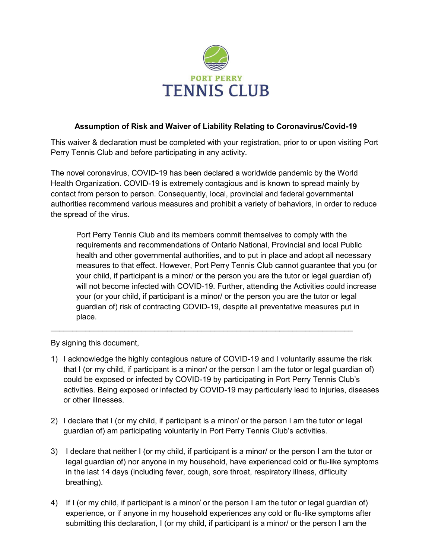

## **Assumption of Risk and Waiver of Liability Relating to Coronavirus/Covid-19**

This waiver & declaration must be completed with your registration, prior to or upon visiting Port Perry Tennis Club and before participating in any activity.

The novel coronavirus, COVID-19 has been declared a worldwide pandemic by the World Health Organization. COVID-19 is extremely contagious and is known to spread mainly by contact from person to person. Consequently, local, provincial and federal governmental authorities recommend various measures and prohibit a variety of behaviors, in order to reduce the spread of the virus.

Port Perry Tennis Club and its members commit themselves to comply with the requirements and recommendations of Ontario National, Provincial and local Public health and other governmental authorities, and to put in place and adopt all necessary measures to that effect. However, Port Perry Tennis Club cannot guarantee that you (or your child, if participant is a minor/ or the person you are the tutor or legal guardian of) will not become infected with COVID-19. Further, attending the Activities could increase your (or your child, if participant is a minor/ or the person you are the tutor or legal guardian of) risk of contracting COVID-19, despite all preventative measures put in place.

By signing this document,

1) I acknowledge the highly contagious nature of COVID-19 and I voluntarily assume the risk that I (or my child, if participant is a minor/ or the person I am the tutor or legal guardian of) could be exposed or infected by COVID-19 by participating in Port Perry Tennis Club's activities. Being exposed or infected by COVID-19 may particularly lead to injuries, diseases or other illnesses.

 $\_$  ,  $\_$  ,  $\_$  ,  $\_$  ,  $\_$  ,  $\_$  ,  $\_$  ,  $\_$  ,  $\_$  ,  $\_$  ,  $\_$  ,  $\_$  ,  $\_$  ,  $\_$  ,  $\_$  ,  $\_$  ,  $\_$  ,  $\_$  ,  $\_$  ,  $\_$  ,  $\_$  ,  $\_$  ,  $\_$  ,  $\_$  ,  $\_$  ,  $\_$  ,  $\_$  ,  $\_$  ,  $\_$  ,  $\_$  ,  $\_$  ,  $\_$  ,  $\_$  ,  $\_$  ,  $\_$  ,  $\_$  ,  $\_$  ,

- 2) I declare that I (or my child, if participant is a minor/ or the person I am the tutor or legal guardian of) am participating voluntarily in Port Perry Tennis Club's activities.
- 3) I declare that neither I (or my child, if participant is a minor/ or the person I am the tutor or legal guardian of) nor anyone in my household, have experienced cold or flu-like symptoms in the last 14 days (including fever, cough, sore throat, respiratory illness, difficulty breathing).
- 4) If I (or my child, if participant is a minor/ or the person I am the tutor or legal guardian of) experience, or if anyone in my household experiences any cold or flu-like symptoms after submitting this declaration, I (or my child, if participant is a minor/ or the person I am the